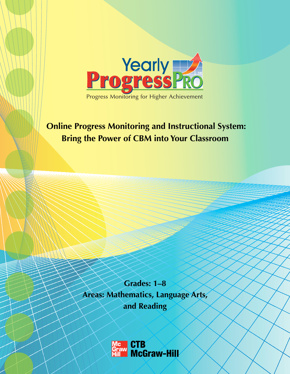

# **Online Progress Monitoring and Instructional System: Bring the Power of CBM into Your Classroom**

**Grades: 1–8 Areas: Mathematics, Language Arts, and Reading**

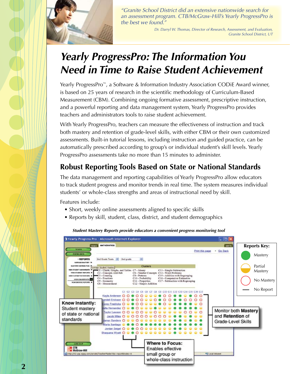

*"Granite School District did an extensive nationwide search for an assessment program. CTB/McGraw-Hill's Yearly ProgressPro is the best we found."*

> *Dr. Darryl W. Thomas, Director of Research, Assessment, and Evaluation, Granite School District, UT*

# *Yearly ProgressPro: The Information You Need in Time to Raise Student Achievement*

Yearly ProgressPro<sup>™</sup>, a Software & Information Industry Association CODiE Award winner, is based on 25 years of research in the scientific methodology of Curriculum-Based Measurement (CBM). Combining ongoing formative assessment, prescriptive instruction, and a powerful reporting and data management system, Yearly ProgressPro provides teachers and administrators tools to raise student achievement.

With Yearly ProgressPro, teachers can measure the effectiveness of instruction and track both mastery and retention of grade-level skills, with either CBM or their own customized assessments. Built-in tutorial lessons, including instruction and guided practice, can be automatically prescribed according to group's or individual student's skill levels. Yearly ProgressPro assessments take no more than 15 minutes to administer.

### **Robust Reporting Tools Based on State or National Standards**

The data management and reporting capabilities of Yearly ProgressPro allow educators to track student progress and monitor trends in real time. The system measures individual students' or whole-class strengths and areas of instructional need by skill.

Features include:

- Short, weekly online assessments aligned to specific skills
- Reports by skill, student, class, district, and student demographics



#### *Student Mastery Reports provide educators a convenient progress monitoring tool*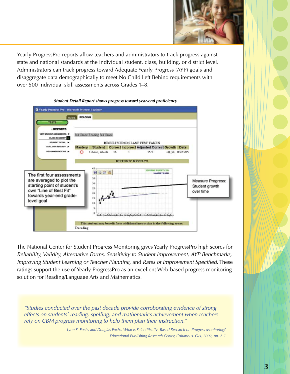

Yearly ProgressPro reports allow teachers and administrators to track progress against state and national standards at the individual student, class, building, or district level. Administrators can track progress toward Adequate Yearly Progress (AYP) goals and disaggregate data demographically to meet No Child Left Behind requirements with over 500 individual skill assessments across Grades 1–8.



The National Center for Student Progress Monitoring gives Yearly ProgressPro high scores for *Reliability, Validity, Alternative Forms, Sensitivity to Student Improvement, AYP Benchmarks, Improving Student Learning or Teacher Planning,* and *Rates of Improvement Specified.* These ratings support the use of Yearly ProgressPro as an excellent Web-based progress monitoring solution for Reading/Language Arts and Mathematics.

*"Studies conducted over the past decade provide corroborating evidence of strong effects on students' reading, spelling, and mathematics achievement when teachers rely on CBM progress monitoring to help them plan their instruction."*

> *Lynn S. Fuchs and Douglas Fuchs, What is Scientifically- Based Research on Progress Monitoring? Educational Publishing Research Center, Columbus, OH, 2002, pp. 2-7*